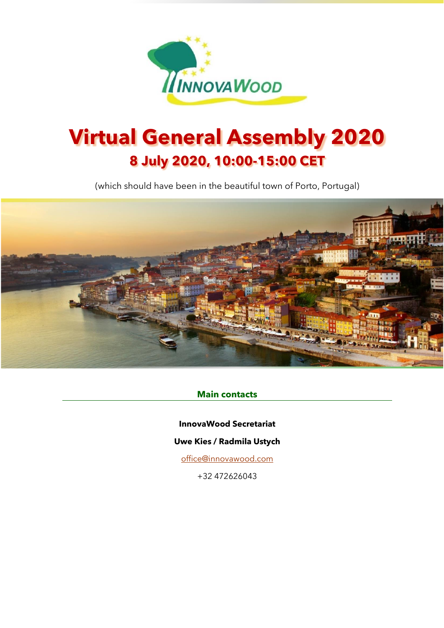

# **Virtual General Assembly 2020 8 July 2020, 10:00-15:00 CET**

(which should have been in the beautiful town of Porto, Portugal)



#### **Main contacts**

**InnovaWood Secretariat**

#### **Uwe Kies / Radmila Ustych**

[office@innovawood.com](mailto:office@innovawood.com)

+32 472626043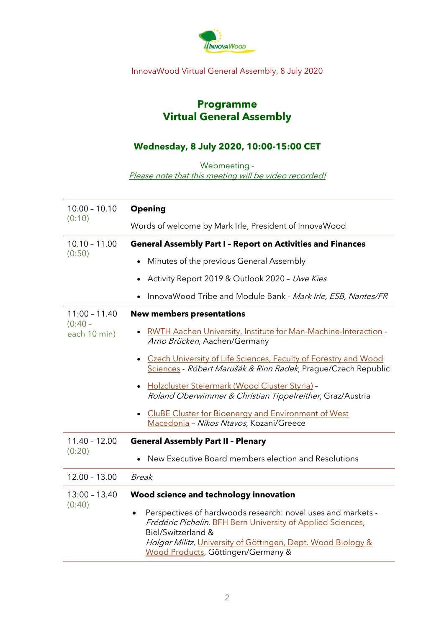

### InnovaWood Virtual General Assembly, 8 July 2020

## **Programme Virtual General Assembly**

## **Wednesday, 8 July 2020, 10:00-15:00 CET**

Webmeeting -

Please note that this meeting will be video recorded!

| $10.00 - 10.10$<br>(0:10)                    | <b>Opening</b>                                                                                                                                                                                                                                          |
|----------------------------------------------|---------------------------------------------------------------------------------------------------------------------------------------------------------------------------------------------------------------------------------------------------------|
|                                              | Words of welcome by Mark Irle, President of InnovaWood                                                                                                                                                                                                  |
| $10.10 - 11.00$<br>(0:50)                    | <b>General Assembly Part I - Report on Activities and Finances</b>                                                                                                                                                                                      |
|                                              | Minutes of the previous General Assembly                                                                                                                                                                                                                |
|                                              | Activity Report 2019 & Outlook 2020 - Uwe Kies                                                                                                                                                                                                          |
|                                              | InnovaWood Tribe and Module Bank - Mark Irle, ESB, Nantes/FR                                                                                                                                                                                            |
| $11:00 - 11.40$<br>$(0:40 -$<br>each 10 min) | <b>New members presentations</b>                                                                                                                                                                                                                        |
|                                              | RWTH Aachen University, Institute for Man-Machine-Interaction -<br>Arno Brücken, Aachen/Germany                                                                                                                                                         |
|                                              | • Czech University of Life Sciences, Faculty of Forestry and Wood<br>Sciences - Róbert Marušák & Rinn Radek, Prague/Czech Republic                                                                                                                      |
|                                              | · Holzcluster Steiermark (Wood Cluster Styria) -<br>Roland Oberwimmer & Christian Tippelreither, Graz/Austria                                                                                                                                           |
|                                              | • CluBE Cluster for Bioenergy and Environment of West<br>Macedonia - Nikos Ntavos, Kozani/Greece                                                                                                                                                        |
| $11.40 - 12.00$<br>(0:20)                    | <b>General Assembly Part II - Plenary</b>                                                                                                                                                                                                               |
|                                              | New Executive Board members election and Resolutions                                                                                                                                                                                                    |
| $12.00 - 13.00$                              | <b>Break</b>                                                                                                                                                                                                                                            |
| $13:00 - 13.40$<br>(0:40)                    | Wood science and technology innovation                                                                                                                                                                                                                  |
|                                              | Perspectives of hardwoods research: novel uses and markets -<br>Frédéric Pichelin, BFH Bern University of Applied Sciences,<br>Biel/Switzerland &<br>Holger Militz, University of Göttingen, Dept. Wood Biology &<br>Wood Products, Göttingen/Germany & |